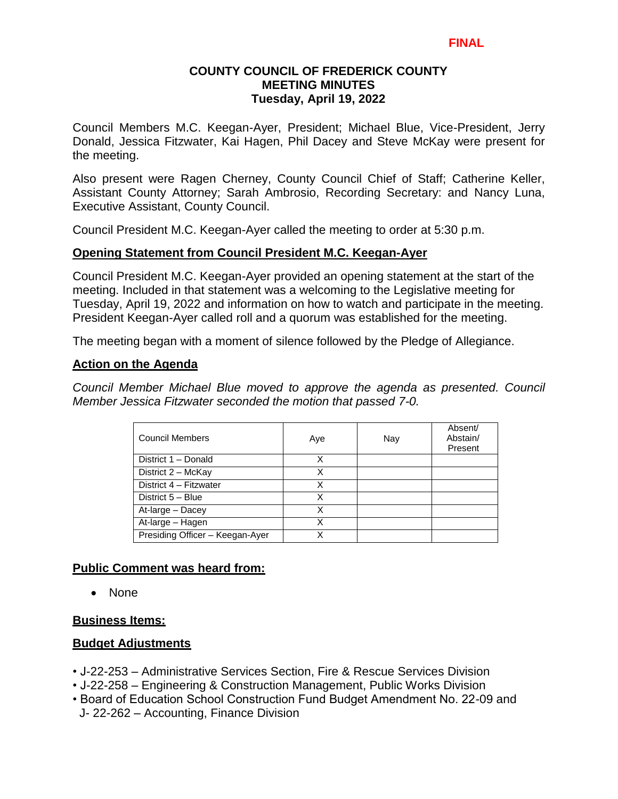## **COUNTY COUNCIL OF FREDERICK COUNTY MEETING MINUTES Tuesday, April 19, 2022**

Council Members M.C. Keegan-Ayer, President; Michael Blue, Vice-President, Jerry Donald, Jessica Fitzwater, Kai Hagen, Phil Dacey and Steve McKay were present for the meeting.

Also present were Ragen Cherney, County Council Chief of Staff; Catherine Keller, Assistant County Attorney; Sarah Ambrosio, Recording Secretary: and Nancy Luna, Executive Assistant, County Council.

Council President M.C. Keegan-Ayer called the meeting to order at 5:30 p.m.

#### **Opening Statement from Council President M.C. Keegan-Ayer**

Council President M.C. Keegan-Ayer provided an opening statement at the start of the meeting. Included in that statement was a welcoming to the Legislative meeting for Tuesday, April 19, 2022 and information on how to watch and participate in the meeting. President Keegan-Ayer called roll and a quorum was established for the meeting.

The meeting began with a moment of silence followed by the Pledge of Allegiance.

#### **Action on the Agenda**

*Council Member Michael Blue moved to approve the agenda as presented. Council Member Jessica Fitzwater seconded the motion that passed 7-0.*

| <b>Council Members</b>          | Aye | Nay | Absent/<br>Abstain/<br>Present |
|---------------------------------|-----|-----|--------------------------------|
| District 1 - Donald             | x   |     |                                |
| District 2 - McKay              | Χ   |     |                                |
| District 4 - Fitzwater          | Χ   |     |                                |
| District 5 - Blue               | x   |     |                                |
| At-large - Dacey                | Χ   |     |                                |
| At-large - Hagen                | x   |     |                                |
| Presiding Officer - Keegan-Ayer | x   |     |                                |

#### **Public Comment was heard from:**

• None

#### **Business Items:**

#### **Budget Adjustments**

- J-22-253 Administrative Services Section, Fire & Rescue Services Division
- J-22-258 Engineering & Construction Management, Public Works Division
- Board of Education School Construction Fund Budget Amendment No. 22-09 and J- 22-262 – Accounting, Finance Division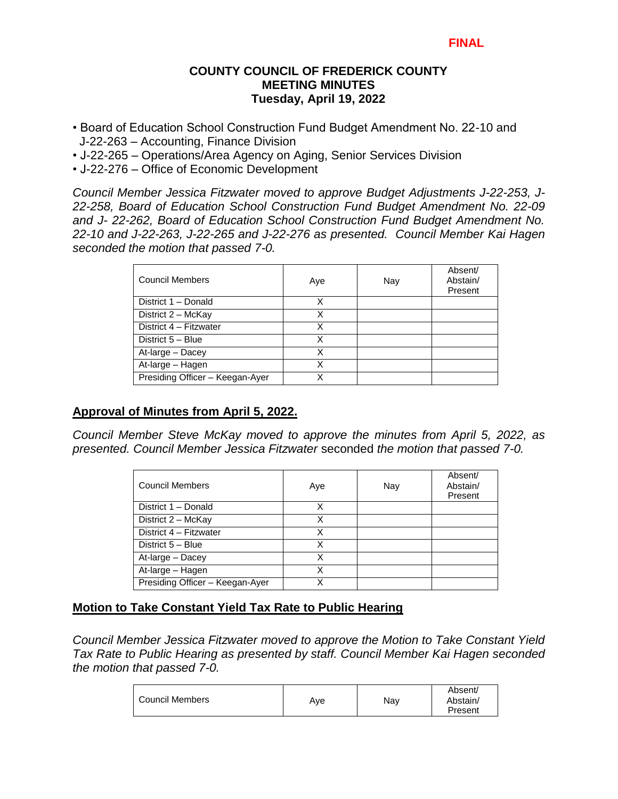## **COUNTY COUNCIL OF FREDERICK COUNTY MEETING MINUTES Tuesday, April 19, 2022**

- Board of Education School Construction Fund Budget Amendment No. 22-10 and J-22-263 – Accounting, Finance Division
- J-22-265 Operations/Area Agency on Aging, Senior Services Division
- J-22-276 Office of Economic Development

*Council Member Jessica Fitzwater moved to approve Budget Adjustments J-22-253, J-22-258, Board of Education School Construction Fund Budget Amendment No. 22-09 and J- 22-262, Board of Education School Construction Fund Budget Amendment No. 22-10 and J-22-263, J-22-265 and J-22-276 as presented. Council Member Kai Hagen seconded the motion that passed 7-0.* 

| <b>Council Members</b>          | Aye | Nay | Absent/<br>Abstain/<br>Present |
|---------------------------------|-----|-----|--------------------------------|
| District 1 - Donald             | Χ   |     |                                |
| District 2 - McKay              | x   |     |                                |
| District 4 - Fitzwater          | Χ   |     |                                |
| District 5 - Blue               | x   |     |                                |
| At-large - Dacey                | х   |     |                                |
| At-large - Hagen                | Χ   |     |                                |
| Presiding Officer - Keegan-Ayer | Χ   |     |                                |

# **Approval of Minutes from April 5, 2022.**

*Council Member Steve McKay moved to approve the minutes from April 5, 2022, as presented. Council Member Jessica Fitzwater* seconded *the motion that passed 7-0.* 

| <b>Council Members</b>          | Aye | Nay | Absent/<br>Abstain/<br>Present |
|---------------------------------|-----|-----|--------------------------------|
| District 1 - Donald             | x   |     |                                |
| District 2 - McKay              | x   |     |                                |
| District 4 - Fitzwater          | Χ   |     |                                |
| District 5 - Blue               | Χ   |     |                                |
| At-large - Dacey                | Χ   |     |                                |
| At-large - Hagen                | Χ   |     |                                |
| Presiding Officer - Keegan-Ayer | v   |     |                                |

# **Motion to Take Constant Yield Tax Rate to Public Hearing**

*Council Member Jessica Fitzwater moved to approve the Motion to Take Constant Yield Tax Rate to Public Hearing as presented by staff. Council Member Kai Hagen seconded the motion that passed 7-0.*

| <b>Council Members</b> | Ave | Nav | Absent/<br>Abstain/<br>Present |
|------------------------|-----|-----|--------------------------------|
|                        |     |     |                                |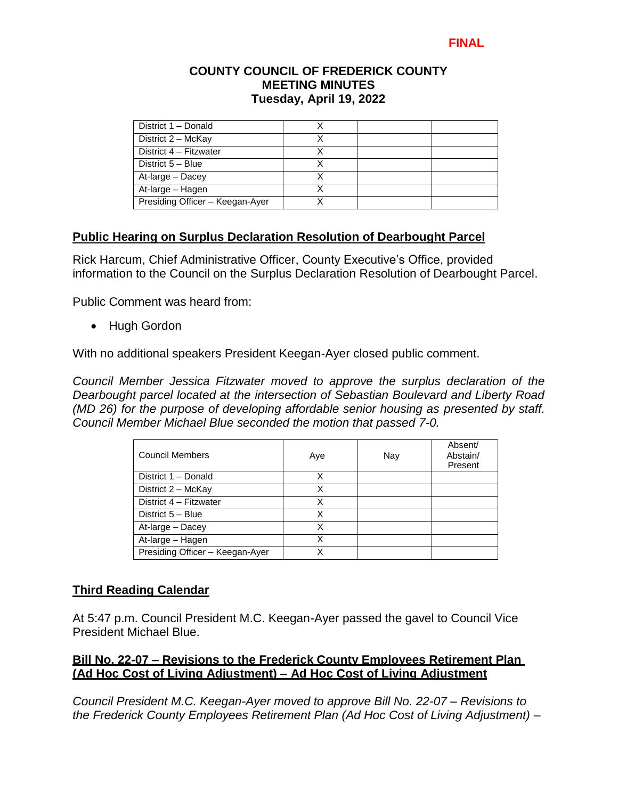#### **COUNTY COUNCIL OF FREDERICK COUNTY MEETING MINUTES Tuesday, April 19, 2022**

| District 1 - Donald             |  |  |
|---------------------------------|--|--|
| District 2 - McKay              |  |  |
| District 4 - Fitzwater          |  |  |
| District 5 - Blue               |  |  |
| At-large - Dacey                |  |  |
| At-large - Hagen                |  |  |
| Presiding Officer - Keegan-Ayer |  |  |

# **Public Hearing on Surplus Declaration Resolution of Dearbought Parcel**

Rick Harcum, Chief Administrative Officer, County Executive's Office, provided information to the Council on the Surplus Declaration Resolution of Dearbought Parcel.

Public Comment was heard from:

• Hugh Gordon

With no additional speakers President Keegan-Ayer closed public comment.

*Council Member Jessica Fitzwater moved to approve the surplus declaration of the Dearbought parcel located at the intersection of Sebastian Boulevard and Liberty Road (MD 26) for the purpose of developing affordable senior housing as presented by staff. Council Member Michael Blue seconded the motion that passed 7-0.*

| <b>Council Members</b>          | Aye | Nay | Absent/<br>Abstain/<br>Present |
|---------------------------------|-----|-----|--------------------------------|
| District 1 - Donald             | Χ   |     |                                |
| District 2 - McKay              | х   |     |                                |
| District 4 - Fitzwater          | X   |     |                                |
| District 5 - Blue               |     |     |                                |
| At-large - Dacey                | X   |     |                                |
| At-large - Hagen                | Χ   |     |                                |
| Presiding Officer - Keegan-Ayer |     |     |                                |

#### **Third Reading Calendar**

At 5:47 p.m. Council President M.C. Keegan-Ayer passed the gavel to Council Vice President Michael Blue.

#### **Bill No. 22-07 – Revisions to the Frederick County Employees Retirement Plan (Ad Hoc Cost of Living Adjustment) – Ad Hoc Cost of Living Adjustment**

*Council President M.C. Keegan-Ayer moved to approve Bill No. 22-07 – Revisions to the Frederick County Employees Retirement Plan (Ad Hoc Cost of Living Adjustment) –*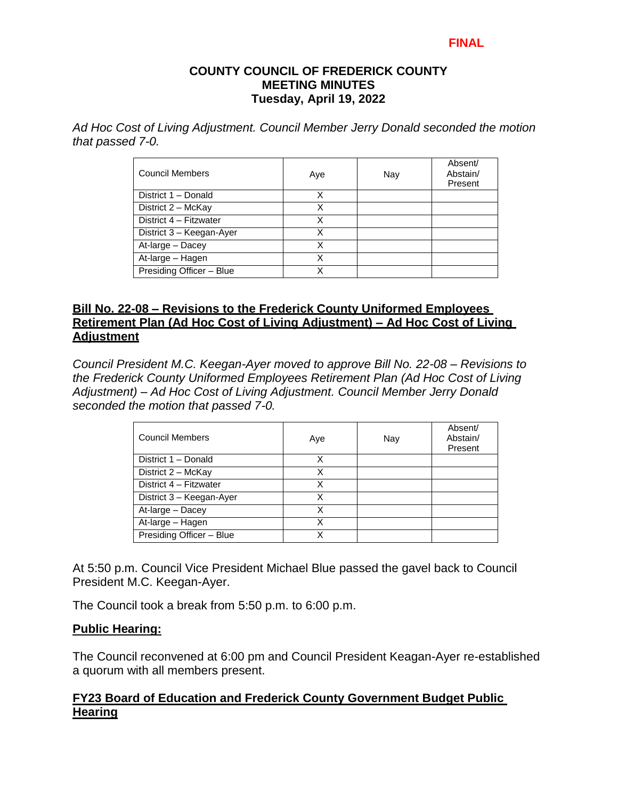#### **FINAL**

#### **COUNTY COUNCIL OF FREDERICK COUNTY MEETING MINUTES Tuesday, April 19, 2022**

*Ad Hoc Cost of Living Adjustment. Council Member Jerry Donald seconded the motion that passed 7-0.*

| <b>Council Members</b>   | Aye | Nay | Absent/<br>Abstain/<br>Present |
|--------------------------|-----|-----|--------------------------------|
| District 1 - Donald      | х   |     |                                |
| District 2 - McKay       | x   |     |                                |
| District 4 - Fitzwater   | Χ   |     |                                |
| District 3 - Keegan-Ayer | Χ   |     |                                |
| At-large - Dacey         | Χ   |     |                                |
| At-large - Hagen         | X   |     |                                |
| Presiding Officer - Blue |     |     |                                |

#### **Bill No. 22-08 – Revisions to the Frederick County Uniformed Employees Retirement Plan (Ad Hoc Cost of Living Adjustment) – Ad Hoc Cost of Living Adjustment**

*Council President M.C. Keegan-Ayer moved to approve Bill No. 22-08 – Revisions to the Frederick County Uniformed Employees Retirement Plan (Ad Hoc Cost of Living Adjustment) – Ad Hoc Cost of Living Adjustment. Council Member Jerry Donald seconded the motion that passed 7-0.*

| Council Members          | Aye | Nay | Absent/<br>Abstain/<br>Present |
|--------------------------|-----|-----|--------------------------------|
| District 1 - Donald      | X   |     |                                |
| District 2 - McKay       |     |     |                                |
| District 4 - Fitzwater   | Χ   |     |                                |
| District 3 - Keegan-Ayer | х   |     |                                |
| At-large - Dacey         | Χ   |     |                                |
| At-large - Hagen         |     |     |                                |
| Presiding Officer - Blue |     |     |                                |

At 5:50 p.m. Council Vice President Michael Blue passed the gavel back to Council President M.C. Keegan-Ayer.

The Council took a break from 5:50 p.m. to 6:00 p.m.

#### **Public Hearing:**

The Council reconvened at 6:00 pm and Council President Keagan-Ayer re-established a quorum with all members present.

# **FY23 Board of Education and Frederick County Government Budget Public Hearing**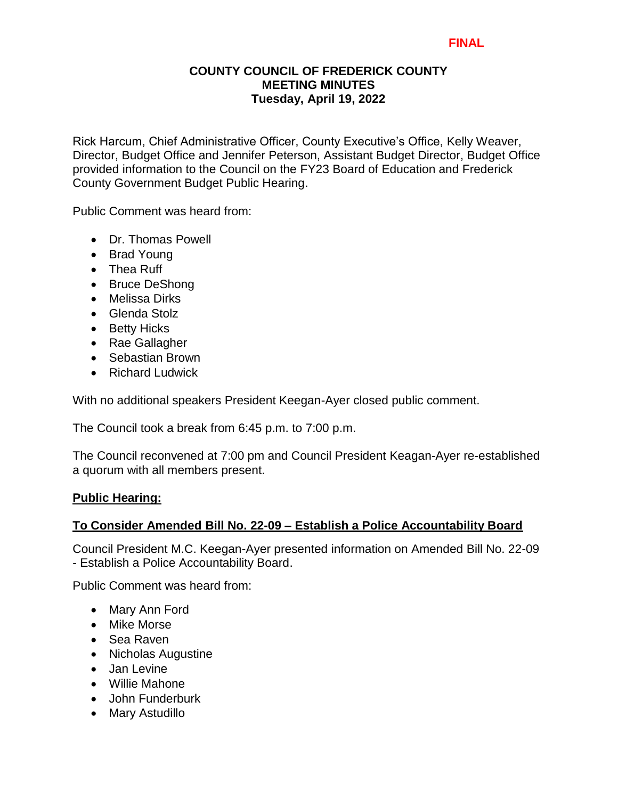#### **FINAL**

#### **COUNTY COUNCIL OF FREDERICK COUNTY MEETING MINUTES Tuesday, April 19, 2022**

Rick Harcum, Chief Administrative Officer, County Executive's Office, Kelly Weaver, Director, Budget Office and Jennifer Peterson, Assistant Budget Director, Budget Office provided information to the Council on the FY23 Board of Education and Frederick County Government Budget Public Hearing.

Public Comment was heard from:

- Dr. Thomas Powell
- Brad Young
- Thea Ruff
- Bruce DeShong
- Melissa Dirks
- Glenda Stolz
- Betty Hicks
- Rae Gallagher
- Sebastian Brown
- Richard Ludwick

With no additional speakers President Keegan-Ayer closed public comment.

The Council took a break from 6:45 p.m. to 7:00 p.m.

The Council reconvened at 7:00 pm and Council President Keagan-Ayer re-established a quorum with all members present.

#### **Public Hearing:**

#### **To Consider Amended Bill No. 22-09 – Establish a Police Accountability Board**

Council President M.C. Keegan-Ayer presented information on Amended Bill No. 22-09 - Establish a Police Accountability Board.

Public Comment was heard from:

- Mary Ann Ford
- Mike Morse
- Sea Raven
- Nicholas Augustine
- Jan Levine
- Willie Mahone
- John Funderburk
- Mary Astudillo